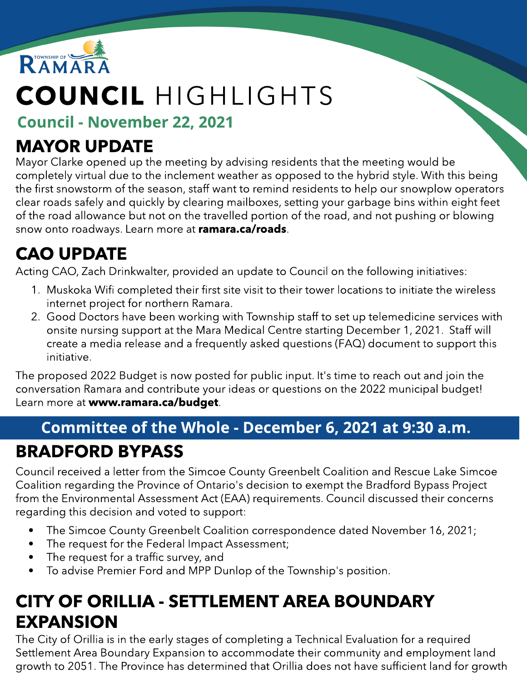

# COUNCIL HIGHLIGHTS

Council - November 22, 2021

#### MAYOR UPDATE

Mayor Clarke opened up the meeting by advising residents that the meeting would be completely virtual due to the inclement weather as opposed to the hybrid style. With this being the first snowstorm of the season, staff want to remind residents to help our snowplow operators clear roads safely and quickly by clearing mailboxes, setting your garbage bins within eight feet of the road allowance but not on the travelled portion of the road, and not pushing or blowing snow onto roadways. Learn more at [ramara.ca/roads](http://www.ramara.ca/roads).

### CAO UPDATE

Acting CAO, Zach Drinkwalter, provided an update to Council on the following initiatives:

- 1. Muskoka Wifi completed their first site visit to their tower locations to initiate the wireless internet project for northern Ramara.
- 2. Good Doctors have been working with Township staff to set up telemedicine services with onsite nursing support at the Mara Medical Centre starting December 1, 2021. Staff will create a media release and a frequently asked questions (FAQ) document to support this initiative.

The proposed 2022 Budget is now posted for public input. It's time to reach out and join the conversation Ramara and contribute your ideas or questions on the 2022 municipal budget! Learn more at ww[w.ramara.ca/budget](http://www.ramara.ca/budget).

# Committee of the Whole - December 6, 2021 at 9:30 a.m.

#### BRADFORD BYPASS

Council received a letter from the Simcoe County Greenbelt Coalition and Rescue Lake Simcoe Coalition regarding the Province of Ontario's decision to exempt the Bradford Bypass Project from the Environmental Assessment Act (EAA) requirements. Council discussed their concerns regarding this decision and voted to support:

- The Simcoe County Greenbelt Coalition correspondence dated November 16, 2021;
- The request for the Federal Impact Assessment;
- The request for a traffic survey, and
- To advise Premier Ford and MPP Dunlop of the Township's position.

#### CITY OF ORILLIA - SETTLEMENT AREA BOUNDARY EXPANSION

The City of Orillia is in the early stages of completing a Technical Evaluation for a required Settlement Area Boundary Expansion to accommodate their community and employment land growth to 2051. The Province has determined that Orillia does not have sufficient land for growth